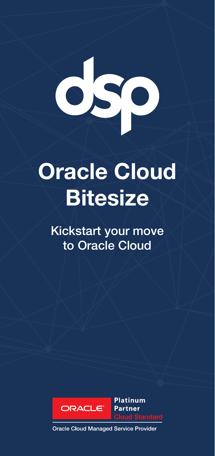# **Oracle Cloud**

## **Bitesize**

Kickstart your move to Oracle Cloud



**Platinum Partner Cloud Standard** 

**Oracle Cloud Managed Service Provider**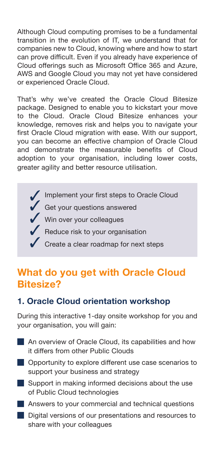Although Cloud computing promises to be a fundamental transition in the evolution of IT, we understand that for companies new to Cloud, knowing where and how to start can prove difficult. Even if you already have experience of Cloud offerings such as Microsoft Office 365 and Azure, AWS and Google Cloud you may not yet have considered or experienced Oracle Cloud.

That's why we've created the Oracle Cloud Bitesize package. Designed to enable you to kickstart your move to the Cloud. Oracle Cloud Bitesize enhances your knowledge, removes risk and helps you to navigate your first Oracle Cloud migration with ease. With our support, you can become an effective champion of Oracle Cloud and demonstrate the measurable benefits of Cloud adoption to your organisation, including lower costs, greater agility and better resource utilisation.



### **What do you get with Oracle Cloud Bitesize?**

#### **1. Oracle Cloud orientation workshop**

During this interactive 1-day onsite workshop for you and your organisation, you will gain:

- An overview of Oracle Cloud, its capabilities and how it differs from other Public Clouds
- **Opportunity to explore different use case scenarios to** support your business and strategy
- Support in making informed decisions about the use of Public Cloud technologies
- **Answers to your commercial and technical questions**
- Digital versions of our presentations and resources to share with your colleagues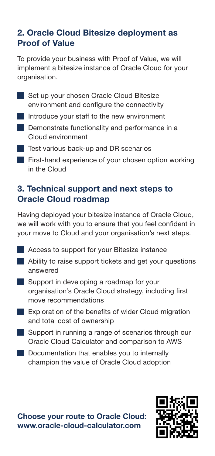#### **2. Oracle Cloud Bitesize deployment as Proof of Value**

To provide your business with Proof of Value, we will implement a bitesize instance of Oracle Cloud for your organisation.

- Set up your chosen Oracle Cloud Bitesize environment and configure the connectivity
- Introduce your staff to the new environment
- **Demonstrate functionality and performance in a**  Cloud environment
- **Test various back-up and DR scenarios**
- **First-hand experience of your chosen option working** in the Cloud

#### **3. Technical support and next steps to Oracle Cloud roadmap**

Having deployed your bitesize instance of Oracle Cloud, we will work with you to ensure that you feel confident in your move to Cloud and your organisation's next steps.

- **Access to support for your Bitesize instance**
- Ability to raise support tickets and get your questions answered
- Support in developing a roadmap for your organisation's Oracle Cloud strategy, including first move recommendations
- **Exploration of the benefits of wider Cloud migration** and total cost of ownership
- Support in running a range of scenarios through our Oracle Cloud Calculator and comparison to AWS
- Documentation that enables you to internally champion the value of Oracle Cloud adoption

**Choose your route to Oracle Cloud: www.oracle-cloud-calculator.com** 

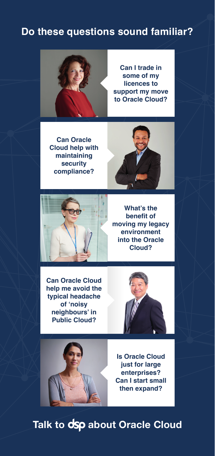#### **Do these questions sound familiar?**



**Can I trade in some of my licences to support my move to Oracle Cloud?**

**Can Oracle Cloud help with maintaining security compliance?**





**What's the benefit of moving my legacy environment into the Oracle Cloud?**

**Can Oracle Cloud help me avoid the typical headache of 'noisy neighbours' in Public Cloud?**





**Is Oracle Cloud just for large enterprises? Can I start small then expand?**

**Talk to dsp about Oracle Cloud**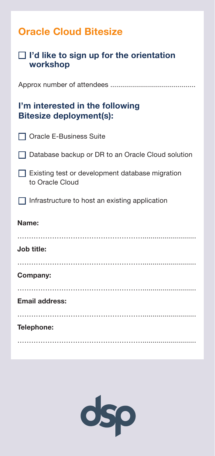| <b>Oracle Cloud Bitesize</b>                                       |
|--------------------------------------------------------------------|
| $\Box$ I'd like to sign up for the orientation<br>workshop         |
|                                                                    |
| I'm interested in the following<br><b>Bitesize deployment(s):</b>  |
| □ Oracle E-Business Suite                                          |
| Database backup or DR to an Oracle Cloud solution                  |
| Existing test or development database migration<br>to Oracle Cloud |
| Infrastructure to host an existing application                     |
| Name:                                                              |
| Job title:                                                         |
| Company:                                                           |
| <b>Email address:</b>                                              |
| Telephone:                                                         |